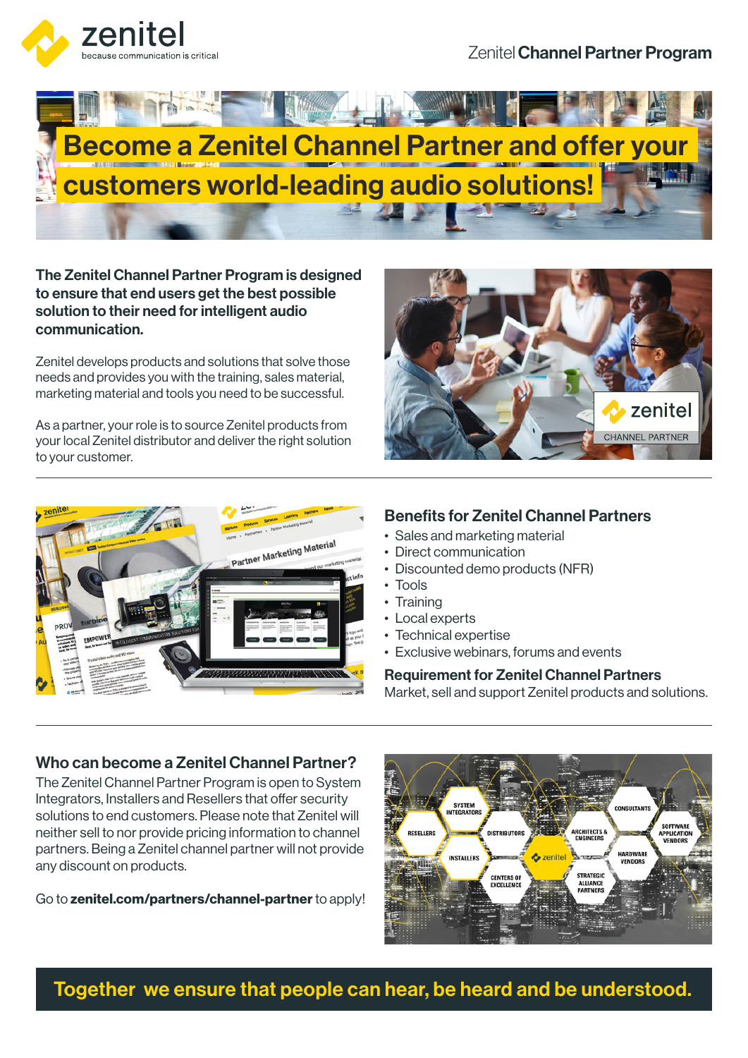

Zenitel Channel Partner Program



The Zenitel Channel Partner Program is designed to ensure that end users get the best possible solution to their need for intelligent audio communication.

Zenitel develops products and solutions that solve those needs and provides you with the training, sales material, marketing material and tools you need to be successful.

As a partner, your role is to source Zenitel products from your local Zenitel distributor and deliver the right solution to your customer.





#### Benefits for Zenitel Channel Partners

- Sales and marketing material
- Direct communication
- Discounted demo products (NFR)
- Tools
- Training
- Local experts
- Technical expertise
- Exclusive webinars, forums and events

#### Requirement for Zenitel Channel Partners

Market, sell and support Zenitel products and solutions.

#### Who can become a Zenitel Channel Partner?

The Zenitel Channel Partner Program is open to System Integrators, Installers and Resellers that offer security solutions to end customers. Please note that Zenitel will neither sell to nor provide pricing information to channel partners. Being a Zenitel channel partner will not provide any discount on products.

Go to zenitel.com/partners/channel-partner to apply!



Together we ensure that people can hear, be heard and be understood.